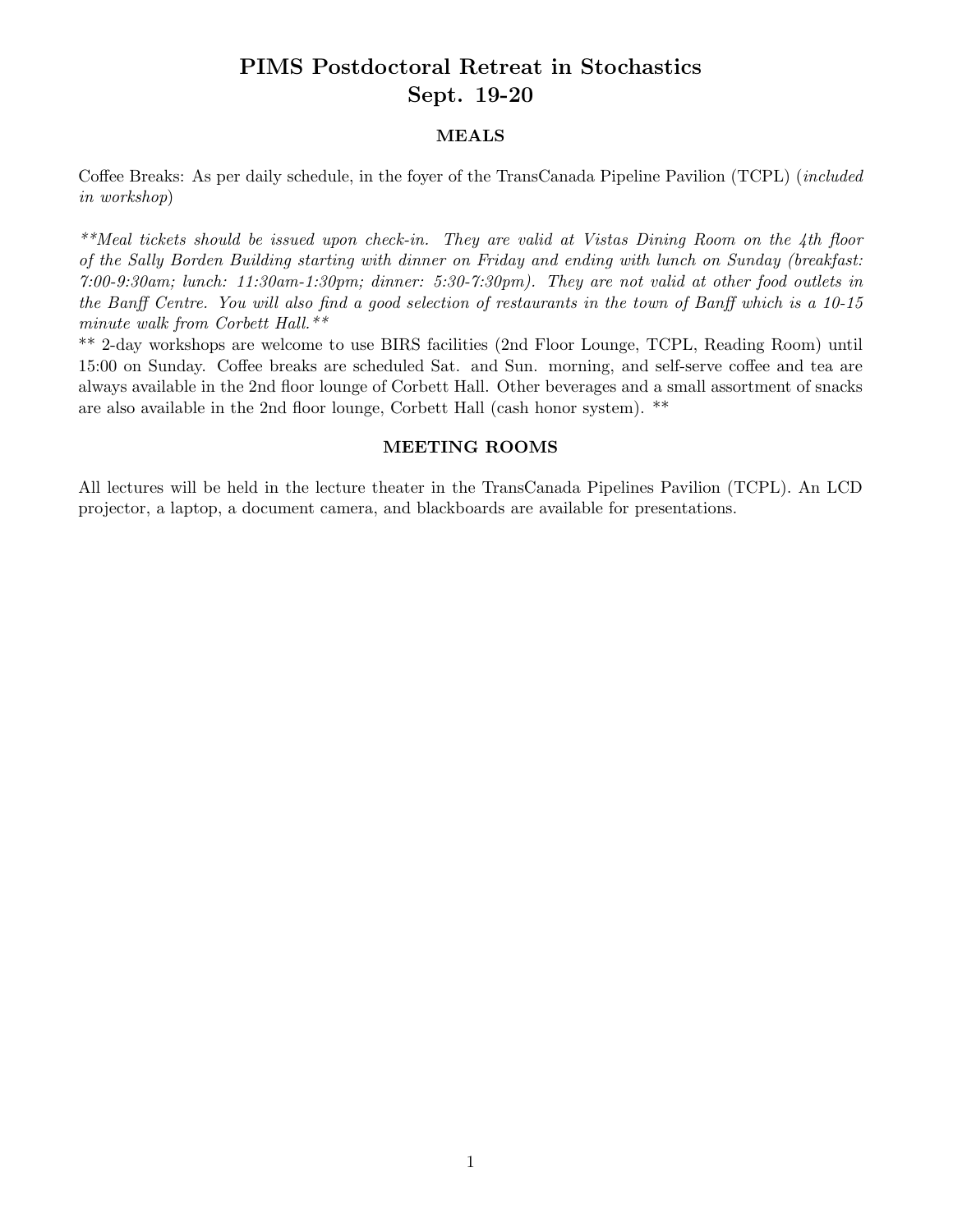## PIMS Postdoctoral Retreat in Stochastics Sept. 19-20

## MEALS

Coffee Breaks: As per daily schedule, in the foyer of the TransCanada Pipeline Pavilion (TCPL) (*included in workshop*)

*\*\*Meal tickets should be issued upon check-in. They are valid at Vistas Dining Room on the 4th floor of the Sally Borden Building starting with dinner on Friday and ending with lunch on Sunday (breakfast: 7:00-9:30am; lunch: 11:30am-1:30pm; dinner: 5:30-7:30pm). They are not valid at other food outlets in the Banff Centre. You will also find a good selection of restaurants in the town of Banff which is a 10-15 minute walk from Corbett Hall.\*\**

\*\* 2-day workshops are welcome to use BIRS facilities (2nd Floor Lounge, TCPL, Reading Room) until 15:00 on Sunday. Coffee breaks are scheduled Sat. and Sun. morning, and self-serve coffee and tea are always available in the 2nd floor lounge of Corbett Hall. Other beverages and a small assortment of snacks are also available in the 2nd floor lounge, Corbett Hall (cash honor system). \*\*

## MEETING ROOMS

All lectures will be held in the lecture theater in the TransCanada Pipelines Pavilion (TCPL). An LCD projector, a laptop, a document camera, and blackboards are available for presentations.